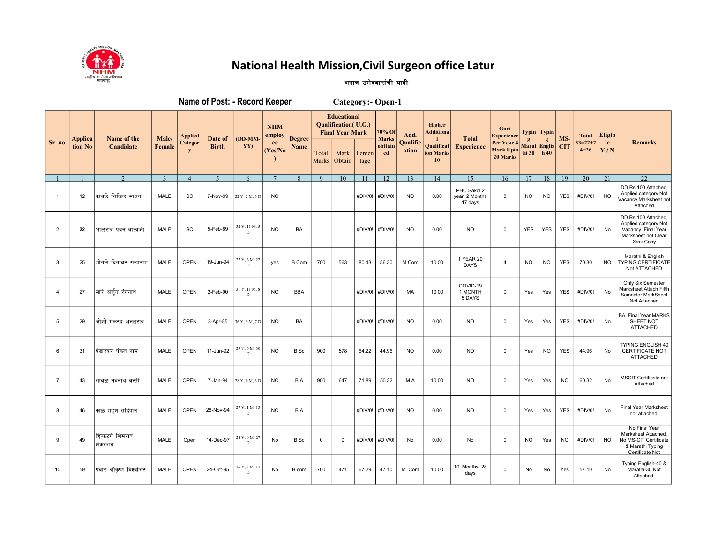

## National Health Mission, Civil Surgeon office Latur

## अपात्र उमेदवारांची यादी

| Name of Post: - Record Keeper<br>Category:- Open-1 |         |                            |                |                         |                         |                    |                      |               |                |                                                                             |                |                        |                          |                                                                    |                                         |                                            |                |                      |            |                       |               |                                                                                                       |
|----------------------------------------------------|---------|----------------------------|----------------|-------------------------|-------------------------|--------------------|----------------------|---------------|----------------|-----------------------------------------------------------------------------|----------------|------------------------|--------------------------|--------------------------------------------------------------------|-----------------------------------------|--------------------------------------------|----------------|----------------------|------------|-----------------------|---------------|-------------------------------------------------------------------------------------------------------|
| Sr. no.                                            | Applica | Name of the<br>Candidate   | Male/          | <b>Applied</b>          | Date of<br><b>Birth</b> | $(DD-MM-$<br>YY)   | <b>NHM</b><br>employ | <b>Degree</b> |                | <b>Educational</b><br><b>Qualification</b> (U.G.)<br><b>Final Year Mark</b> |                | 70% Of<br><b>Marks</b> | Add.                     | <b>Higher</b><br><b>Additiona</b><br>Qualificat<br>ion Marks<br>10 | <b>Total</b><br><b>Experience</b>       | Govt<br><b>Experience</b>                  |                | Typin   Typin        | MS-        | <b>Total</b>          | <b>Eligib</b> |                                                                                                       |
|                                                    | tion No |                            | Female         | Categor<br>$\mathbf{y}$ |                         |                    | ee<br>(Yes/No        | Name          | Total<br>Marks | Mark<br>Obtain                                                              | Percen<br>tage | obttain<br>ed          | <b>Qualific</b><br>ation |                                                                    |                                         | Per Year 4<br><b>Mark Upto</b><br>20 Marks | Marat<br>hi 30 | <b>Englis</b><br>h40 | <b>CIT</b> | $33=22+2$<br>$4 + 26$ | le<br>Y/N     | <b>Remarks</b>                                                                                        |
|                                                    |         | 2                          | $\overline{3}$ | $\overline{4}$          | 5                       | 6                  |                      | 8             | 9              | 10                                                                          | 11             | 12                     | 13                       | 14                                                                 | 15                                      | 16                                         | 17             | 18                   | 19         | 20                    | 21            | 22                                                                                                    |
| $\overline{1}$                                     | 12      | कांबळे निखिल माधव          | MALE           | <b>SC</b>               | 7-Nov-99                | 22 Y, 2 M, 3 D     | <b>NO</b>            |               |                |                                                                             |                | #DIV/0! #DIV/0!        | <b>NO</b>                | 0.00                                                               | PHC Sakol 2<br>year 2 Months<br>17 days | 8                                          | <b>NO</b>      | <b>NO</b>            | <b>YES</b> | #DIV/0!               | <b>NO</b>     | DD Rs.100 Attached<br>Applied category Not<br>Vacancy, Marksheet not<br>Attached                      |
| $\overline{2}$                                     | 22      | भालेराव पवन बालाजी         | MALE           | SC                      | 5-Feb-89                | 32 Y, 11 M, 5<br>D | <b>NO</b>            | <b>BA</b>     |                |                                                                             | #DIV/0!        | #DIV/0!                | <b>NO</b>                | 0.00                                                               | <b>NO</b>                               | 0                                          | <b>YES</b>     | <b>YES</b>           | <b>YES</b> | #DIV/0!               | No            | DD Rs.100 Attached<br>Applied category Not<br>Vacancy, Final Year<br>Marksheet not Clear<br>Xrox Copy |
| 3                                                  | 25      | मोगले दिगांबर सखाराम       | <b>MALE</b>    | <b>OPEN</b>             | 19-Jun-94               | 27 Y, 6 M, 22<br>D | yes                  | <b>B.Com</b>  | 700            | 563                                                                         | 80.43          | 56.30                  | M.Com                    | 10.00                                                              | 1 YEAR 20<br><b>DAYS</b>                | $\overline{4}$                             | <b>NO</b>      | <b>NO</b>            | <b>YES</b> | 70.30                 | <b>NO</b>     | Marathi & English<br><b>TYPING CERTIFICATE</b><br>Not ATTACHED                                        |
| $\overline{4}$                                     | 27      | मोरे अर्जुन रंगनाथ         | MALE           | <b>OPEN</b>             | 2-Feb-90                | 31 Y, 11 M, 8<br>D | <b>NO</b>            | <b>BBA</b>    |                |                                                                             | #DIV/0!        | #DIV/0!                | MA                       | 10.00                                                              | COVID-19<br>1 MONTH<br>5 DAYS           | $\mathbf 0$                                | Yes            | Yes                  | <b>YES</b> | #DIV/0!               | No            | Only Six Semester<br>Marksheet Attach Fifth<br>Semester MarkSheet<br>Not Attached                     |
| 5                                                  | 29      | जोशी मकरंद अनंतराव         | <b>MALE</b>    | <b>OPEN</b>             | 3-Apr-85                | 36 Y, 9 M, 7 D     | <b>NO</b>            | <b>BA</b>     |                |                                                                             | #DIV/0!        | #DIV/0!                | <b>NO</b>                | 0.00                                                               | <b>NO</b>                               | $\mathbf 0$                                | Yes            | Yes                  | <b>YES</b> | #DIV/0!               | No            | <b>BA Final Year MARKS</b><br>SHEET NOT<br><b>ATTACHED</b>                                            |
| 6                                                  | 31      | पेंढारकर पंकज राम          | MALE           | <b>OPEN</b>             | 11-Jun-92               | 29 Y, 6 M, 30<br>D | <b>NO</b>            | B.Sc          | 900            | 578                                                                         | 64.22          | 44.96                  | <b>NO</b>                | 0.00                                                               | <b>NO</b>                               | $\mathbf 0$                                | Yes            | <b>NO</b>            | <b>YES</b> | 44.96                 | No            | <b>TYPING ENGLISH 40</b><br><b>CERTIFICATE NOT</b><br><b>ATTACHED</b>                                 |
| $\overline{7}$                                     | 43      | साबळे नवनाथ बन्सी          | MALE           | <b>OPEN</b>             | 7-Jan-94                | 28 Y, 0 M, 3 D     | <b>NO</b>            | B.A           | 900            | 647                                                                         | 71.89          | 50.32                  | M.A                      | 10.00                                                              | <b>NO</b>                               | $\mathbf 0$                                | Yes            | Yes                  | <b>NO</b>  | 60.32                 | No            | MSCIT Certificate not<br>Attached                                                                     |
| 8                                                  | 46      | ∣काळे महेश संदिपान         | MALE           | <b>OPEN</b>             | 28-Nov-94               | 27 Y, 1 M, 13<br>D | <b>NO</b>            | B.A           |                |                                                                             | #DIV/0!        | #DIV/0!                | <b>NO</b>                | 0.00                                                               | <b>NO</b>                               | 0                                          | Yes            | Yes                  | <b>YES</b> | #DIV/0!               | No            | <b>Final Year Marksheet</b><br>not attached.                                                          |
| 9                                                  | 49      | हिप्पळगे भिमराव<br>शंकरराव | MALE           | Open                    | 14-Dec-97               | 24 Y, 0 M, 27<br>D | No                   | B.Sc          | $\mathbf 0$    | $\mathbf 0$                                                                 | #DIV/0!        | #DIV/0!                | No                       | 0.00                                                               | No                                      | $\mathbf 0$                                | <b>NO</b>      | Yes                  | <b>NO</b>  | #DIV/0!               | <b>NO</b>     | No Final Year<br>Marksheet Attached.<br>No MS-CIT Certificate<br>& Marathi Typing<br>Certificate Not  |
| 10                                                 | 59      | पवार श्रीकृष्ण विश्वांभर   | <b>MALE</b>    | <b>OPEN</b>             | 24-Oct-95               | 26 Y, 2 M, 17<br>D | No                   | B.com         | 700            | 471                                                                         | 67.29          | 47.10                  | M. Com                   | 10.00                                                              | 10 Months, 28<br>days                   | $\Omega$                                   | No             | No                   | Yes        | 57.10                 | No            | Typing English-40 &<br>Marathi-30 Not<br>Attached.                                                    |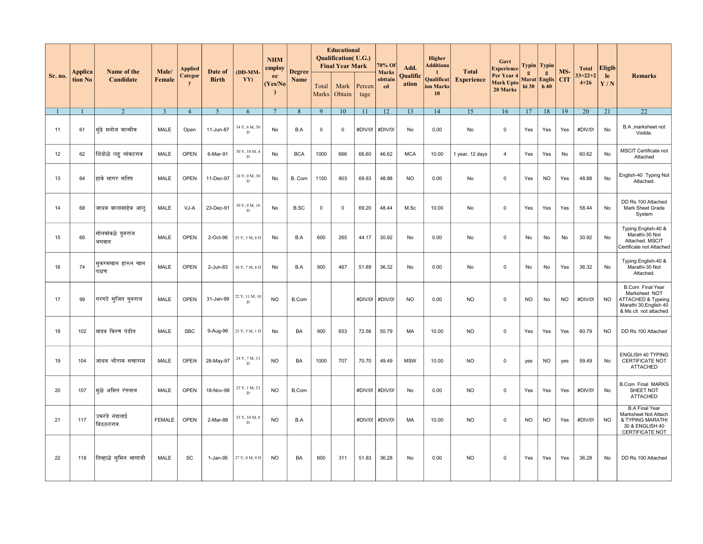|                | Applica | Name of the<br>Candidate   | Male/          | Applied             | Date of<br><b>Birth</b> | (DD-MM-                       | <b>NHM</b><br>employ<br>ee<br>(Yes/No | <b>Degree</b> |                | <b>Educational</b><br>Qualification(U.G.)<br><b>Final Year Mark</b> |                | 70% Of<br><b>Marks</b> | Add.              | <b>Higher</b><br><b>Additiona</b> | <b>Total</b>      | Govt<br><b>Experience</b>                  | $\mathbf{g}$ | Typin   Typin<br>$g_{\rm s}$ | MS-        | <b>Total</b>              | Eligib    |                                                                                                                   |
|----------------|---------|----------------------------|----------------|---------------------|-------------------------|-------------------------------|---------------------------------------|---------------|----------------|---------------------------------------------------------------------|----------------|------------------------|-------------------|-----------------------------------|-------------------|--------------------------------------------|--------------|------------------------------|------------|---------------------------|-----------|-------------------------------------------------------------------------------------------------------------------|
| Sr. no.        | tion No |                            | Female         | <b>Categor</b><br>y |                         | YY)                           |                                       | Name          | Total<br>Marks | Mark<br>Obtain                                                      | Percen<br>tage | obttain<br>ed          | Qualific<br>ation | Qualificat<br>ion Marks<br>10     | <b>Experience</b> | Per Year 4<br><b>Mark Upto</b><br>20 Marks | hi 30        | Marat   Englis  <br>h40      | <b>CIT</b> | $33 = 22 + 2$<br>$4 + 26$ | le<br>Y/N | <b>Remarks</b>                                                                                                    |
| $\overline{1}$ |         | $\mathfrak{D}$             | $\overline{3}$ | $\overline{4}$      | $\overline{5}$          | 6                             | $7\phantom{.0}$                       | 8             | 9              | 10                                                                  | 11             | 12                     | 13                | 14                                | 15                | 16                                         | 17           | 18                           | 19         | 20                        | 21        | 22                                                                                                                |
| 11             | 61      | मुंढे मनोज वाल्मीक         | MALE           | Open                | 11-Jun-87               | 34 Y, 6 M, 30<br>$\mathbf D$  | No                                    | B.A           | 0              | $\mathbf 0$                                                         | #DIV/0!        | #DIV/0!                | No                | 0.00                              | No                | $\mathbf 0$                                | Yes          | Yes                          | Yes        | #DIV/0!                   | No        | B.A , marksheet not<br>Visible.                                                                                   |
| 12             | 62      | धिंडोळे लह व्यंकटराव       | MALE           | OPEN                | 6-Mar-91                | 30 Y, 10 M, 4<br>D            | No                                    | <b>BCA</b>    | 1000           | 666                                                                 | 66.60          | 46.62                  | <b>MCA</b>        | 10.00                             | 1 year, 12 days   | $\overline{4}$                             | Yes          | Yes                          | No         | 60.62                     | No        | MSCIT Certificate not<br>Attached                                                                                 |
| 13             | 64      | हाके सागर सतिष             | MALE           | <b>OPEN</b>         | 11-Dec-97               | 24 Y, 0 M, 30<br>D            | <b>No</b>                             | B. Com        | 1150           | 803                                                                 | 69.83          | 48.88                  | <b>NO</b>         | 0.00                              | No                | $\mathbf 0$                                | Yes          | <b>NO</b>                    | Yes        | 48.88                     | No        | English-40 Typing Not<br>Attached.                                                                                |
| 14             | 68      | जाधव बालासाहेब आलु         | MALE           | VJ-A                | 23-Dec-91               | 30 Y, 0 M, 18<br>$\mathbf D$  | No                                    | <b>B.SC</b>   | 0              | $\mathbf 0$                                                         | 69.20          | 48.44                  | M.Sc              | 10.00                             | No                | $\mathbf 0$                                | Yes          | Yes                          | Yes        | 58.44                     | No        | DD Rs.100 Attached<br>Mark Sheet Grade<br>System                                                                  |
| 15             | 69      | सोनकांबळे यूवराज<br>भगवान  | MALE           | <b>OPEN</b>         | 2-Oct-96                | 25 Y, 3 M, 8 D                | No                                    | B.A           | 600            | 265                                                                 | 44.17          | 30.92                  | No                | 0.00                              | No                | $\mathbf 0$                                | No           | No                           | No         | 30.92                     | No        | Typing English-40 &<br>Marathi-30 Not<br>Attached. MSCIT<br>Certificate not Attached                              |
| 16             | 74      | मुकरमखान हारुन खान<br>पठाण | <b>MALE</b>    | <b>OPEN</b>         | 2-Jun-83                | 38 Y, 7 M, 8 D                | No                                    | B.A           | 900            | 467                                                                 | 51.89          | 36.32                  | No                | 0.00                              | No                | $\mathbf 0$                                | No           | No                           | Yes        | 36.32                     | No        | Typing English-40 &<br>Marathi-30 Not<br>Attached.                                                                |
| 17             | 99      | गरगटे सुजित युवराज         | <b>MALE</b>    | <b>OPEN</b>         | 31-Jan-99               | 22 Y, 11 M, 10<br>$\mathbf D$ | <b>NO</b>                             | B.Com         |                |                                                                     | #DIV/0!        | #DIV/0!                | <b>NO</b>         | 0.00                              | <b>NO</b>         | $\mathbf 0$                                | <b>NO</b>    | No                           | <b>NO</b>  | #DIV/0!                   | <b>NO</b> | <b>B.Com Final Year</b><br>Marksheet NOT<br>ATTACHED & Typeing<br>Marathi 30, English 40<br>& Ms cit not attached |
| 18             | 102     | यादव किरण पंडीत            | MALE           | <b>SBC</b>          | 9-Aug-96                | 25 Y, 5 M, 1 D                | No                                    | BA            | 900            | 653                                                                 | 72.56          | 50.79                  | МA                | 10.00                             | <b>NO</b>         | 0                                          | Yes          | Yes                          | Yes        | 60.79                     | <b>NO</b> | DD Rs.100 Attached                                                                                                |
| 19             | 104     | जाधव श्रीराम सखाराम        | MALE           | <b>OPEN</b>         | 28-May-97               | 24 Y, 7 M, 13<br>D            | <b>NO</b>                             | BA            | 1000           | 707                                                                 | 70.70          | 49.49                  | <b>MSW</b>        | 10.00                             | <b>NO</b>         | $\mathbf 0$                                | yes          | <b>NO</b>                    | yes        | 59.49                     | No        | ENGLISH 40 TYPING<br>CERTIFICATE NOT<br><b>ATTACHED</b>                                                           |
| 20             | 107     | मुळे अमित रंगनाथ           | MALE           | OPEN                | 18-Nov-98               | 23 Y, 1 M, 23<br>D            | <b>NO</b>                             | B.Com         |                |                                                                     | #DIV/0!        | #DIV/0!                | No                | 0.00                              | <b>NO</b>         | $\mathsf 0$                                | Yes          | Yes                          | Yes        | #DIV/0!                   | No        | <b>B.Com Final MARKS</b><br>SHEET NOT<br><b>ATTACHED</b>                                                          |
| 21             | 117     | उकरंडे नंदाताई<br>विठठलराव | <b>FEMALE</b>  | OPEN                | 2-Mar-88                | 33 Y, 10 M, 8<br>$\mathbf D$  | <b>NO</b>                             | B.A           |                |                                                                     | #DIV/0!        | #DIV/0!                | MA                | 10.00                             | <b>NO</b>         | $\mathbf 0$                                | <b>NO</b>    | <b>NO</b>                    | Yes        | #DIV/0!                   | <b>NO</b> | <b>B.A Final Year</b><br>Marksheet Not Attach<br>& TYPING MARATHI<br>30 & ENGLISH 40<br><b>CERTIFICATE NOT</b>    |
| 22             | 118     | तिव्हाळे सुमित भागाजी      | MALE           | SC                  | 1-Jan-95                | 27 Y, 0 M, 9 D                | <b>NO</b>                             | BA            | 600            | 311                                                                 | 51.83          | 36.28                  | No                | 0.00                              | <b>NO</b>         | 0                                          | Yes          | Yes                          | Yes        | 36.28                     | No        | DD Rs.100 Attached                                                                                                |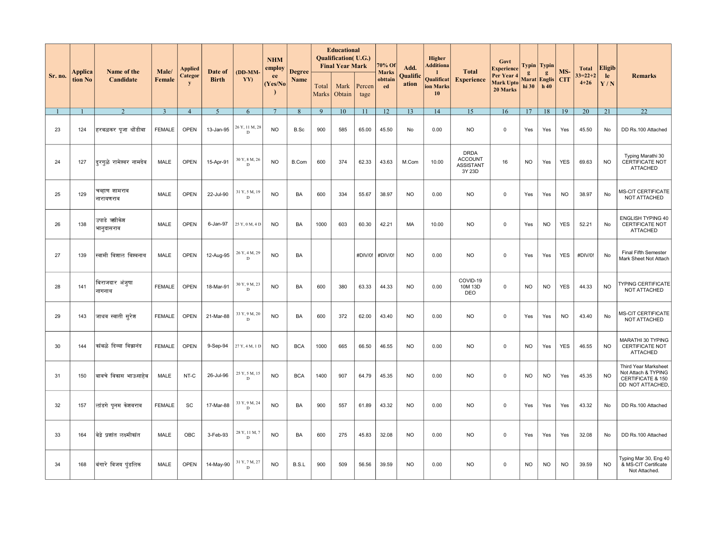|         |                    | Name of the<br>Candidate   | Male/<br>Female | Applied<br>Categor<br>y |                         | (DD-MM-<br>YY)               | <b>NHM</b><br>employ<br>ee<br>(Yes/No |                       | <b>Educational</b><br><b>Qualification</b> (U.G.)<br><b>Final Year Mark</b> |                |                | 70% Of                        | Add.              | <b>Higher</b><br><b>Additiona</b> | <b>Total</b>                                                | Govt<br><b>Experience</b>                  |                       | Typin   Typin                              |                   | <b>Total</b>              | <b>Eligib</b> |                                                                                     |
|---------|--------------------|----------------------------|-----------------|-------------------------|-------------------------|------------------------------|---------------------------------------|-----------------------|-----------------------------------------------------------------------------|----------------|----------------|-------------------------------|-------------------|-----------------------------------|-------------------------------------------------------------|--------------------------------------------|-----------------------|--------------------------------------------|-------------------|---------------------------|---------------|-------------------------------------------------------------------------------------|
| Sr. no. | Applica<br>tion No |                            |                 |                         | Date of<br><b>Birth</b> |                              |                                       | <b>Degree</b><br>Name | Total<br>Marks                                                              | Mark<br>Obtain | Percen<br>tage | <b>Marks</b><br>obttain<br>ed | Qualific<br>ation | Qualificat<br>ion Marks<br>10     | <b>Experience</b>                                           | Per Year 4<br><b>Mark Upto</b><br>20 Marks | $\mathbf{g}$<br>hi 30 | $\mathbf{g}$<br><b>Marat</b> Englis<br>h40 | MS-<br><b>CIT</b> | $33 = 22 + 2$<br>$4 + 26$ | le<br>Y/N     | <b>Remarks</b>                                                                      |
|         |                    | 2                          | $\overline{3}$  | $\overline{4}$          | $\overline{5}$          | 6                            | $7\phantom{.0}$                       | 8                     | 9                                                                           | 10             | 11             | 12                            | 13                | 14                                | 15                                                          | 16                                         | 17                    | 18                                         | 19                | 20                        | 21            | $\overline{22}$                                                                     |
| 23      | 124                | हरबळकर पूजा धोंडीबा        | <b>FEMALE</b>   | <b>OPEN</b>             | 13-Jan-95               | 26 Y, 11 M, 28<br>D          | <b>NO</b>                             | B.Sc                  | 900                                                                         | 585            | 65.00          | 45.50                         | No                | 0.00                              | <b>NO</b>                                                   | $\mathbf 0$                                | Yes                   | Yes                                        | Yes               | 45.50                     | No            | DD Rs.100 Attached                                                                  |
| 24      | 127                | दिरगुळे रामेश्वर नामदेव    | MALE            | OPEN                    | 15-Apr-91               | 30 Y, 8 M, 26<br>$\mathbf D$ | <b>NO</b>                             | <b>B.Com</b>          | 600                                                                         | 374            | 62.33          | 43.63                         | M.Com             | 10.00                             | <b>DRDA</b><br><b>ACCOUNT</b><br><b>ASSISTANT</b><br>3Y 23D | 16                                         | <b>NO</b>             | Yes                                        | <b>YES</b>        | 69.63                     | <b>NO</b>     | Typing Marathi 30<br>CERTIFICATE NOT<br><b>ATTACHED</b>                             |
| 25      | 129                | चव्हाण शामराव<br>नारायणराव | MALE            | <b>OPEN</b>             | 22-Jul-90               | 31 Y, 5 M, 19<br>D           | <b>NO</b>                             | BA                    | 600                                                                         | 334            | 55.67          | 38.97                         | <b>NO</b>         | 0.00                              | NO.                                                         | 0                                          | Yes                   | Yes                                        | <b>NO</b>         | 38.97                     | No            | MS-CIT CERTIFICATE<br>NOT ATTACHED                                                  |
| 26      | 138                | उपाडे ऋगिकेश<br>भानुदासराव | <b>MALE</b>     | <b>OPEN</b>             | 6-Jan-97                | 25 Y, 0 M, 4 D               | <b>NO</b>                             | <b>BA</b>             | 1000                                                                        | 603            | 60.30          | 42.21                         | <b>MA</b>         | 10.00                             | <b>NO</b>                                                   | $\mathbf 0$                                | Yes                   | <b>NO</b>                                  | <b>YES</b>        | 52.21                     | No            | <b>ENGLISH TYPING 40</b><br>CERTIFICATE NOT<br><b>ATTACHED</b>                      |
| 27      | 139                | स्वामी विशाल विश्वनाथ      | MALE            | <b>OPEN</b>             | 12-Aug-95               | 26 Y, 4 M, 29<br>D           | <b>NO</b>                             | BA                    |                                                                             |                | #DIV/0!        | #DIV/0!                       | <b>NO</b>         | 0.00                              | <b>NO</b>                                                   | $\mathbf 0$                                | Yes                   | Yes                                        | <b>YES</b>        | #DIV/0!                   | No            | Final Fifth Semester<br>Mark Sheet Not Attach                                       |
| 28      | 141                | बिराजदार अंजूषा<br>नागनाथ  | <b>FEMALE</b>   | OPEN                    | 18-Mar-91               | 30 Y, 9 M, 23<br>$\mathbf D$ | <b>NO</b>                             | BA                    | 600                                                                         | 380            | 63.33          | 44.33                         | <b>NO</b>         | 0.00                              | COVID-19<br>10M 13D<br>DEO                                  | $\mathbf 0$                                | <b>NO</b>             | <b>NO</b>                                  | <b>YES</b>        | 44.33                     | <b>NO</b>     | TYPING CERTIFICATE<br>NOT ATTACHED                                                  |
| 29      | 143                | जाधव स्वाती सुरेश          | <b>FEMALE</b>   | <b>OPEN</b>             | 21-Mar-88               | 33 Y, 9 M, 20<br>$\mathbf D$ | <b>NO</b>                             | BA                    | 600                                                                         | 372            | 62.00          | 43.40                         | <b>NO</b>         | 0.00                              | <b>NO</b>                                                   | 0                                          | Yes                   | Yes                                        | <b>NO</b>         | 43.40                     | No            | MS-CIT CERTIFICATE<br>NOT ATTACHED                                                  |
| 30      | 144                | कांबळे दिव्या विकानंद      | <b>FEMALE</b>   | <b>OPEN</b>             | 9-Sep-94                | 27 Y, 4 M, 1 D               | <b>NO</b>                             | <b>BCA</b>            | 1000                                                                        | 665            | 66.50          | 46.55                         | <b>NO</b>         | 0.00                              | NO.                                                         | 0                                          | <b>NO</b>             | Yes                                        | <b>YES</b>        | 46.55                     | <b>NO</b>     | MARATHI 30 TYPING<br>CERTIFICATE NOT<br><b>ATTACHED</b>                             |
| 31      | 150                | बावचे विकास भाऊसाहेब       | MALE            | NT-C                    | 26-Jul-96               | 25 Y, 5 M, 15<br>D           | <b>NO</b>                             | <b>BCA</b>            | 1400                                                                        | 907            | 64.79          | 45.35                         | <b>NO</b>         | 0.00                              | <b>NO</b>                                                   | $\mathbf 0$                                | <b>NO</b>             | <b>NO</b>                                  | Yes               | 45.35                     | <b>NO</b>     | Third Year Marksheet<br>Not Attach & TYPING<br>CERTIFICATE & 150<br>DD NOT ATTACHED |
| 32      | 157                | लांडगे पुनम केशवराव        | <b>FEMALE</b>   | SC                      | 17-Mar-88               | 33 Y, 9 M, 24<br>D           | <b>NO</b>                             | BA                    | 900                                                                         | 557            | 61.89          | 43.32                         | <b>NO</b>         | 0.00                              | <b>NO</b>                                                   | 0                                          | Yes                   | Yes                                        | Yes               | 43.32                     | No            | DD Rs.100 Attached                                                                  |
| 33      | 164                | बेद्रे प्रशांत लक्ष्मीकांत | <b>MALE</b>     | OBC                     | 3-Feb-93                | 28 Y, 11 M, 7<br>$\mathbf D$ | <b>NO</b>                             | BA                    | 600                                                                         | 275            | 45.83          | 32.08                         | <b>NO</b>         | 0.00                              | <b>NO</b>                                                   | $\mathbf 0$                                | Yes                   | Yes                                        | Yes               | 32.08                     | No            | DD Rs.100 Attached                                                                  |
| 34      | 168                | बिंगारे विजय पुंडलिक       | MALE            | <b>OPEN</b>             | 14-May-90               | 31 Y, 7 M, 27<br>$\mathbf D$ | <b>NO</b>                             | B.S.L                 | 900                                                                         | 509            | 56.56          | 39.59                         | <b>NO</b>         | 0.00                              | <b>NO</b>                                                   | $\mathsf 0$                                | <b>NO</b>             | <b>NO</b>                                  | <b>NO</b>         | 39.59                     | <b>NO</b>     | Typing Mar 30, Eng 40<br>& MS-CIT Certificate<br>Not Attached.                      |